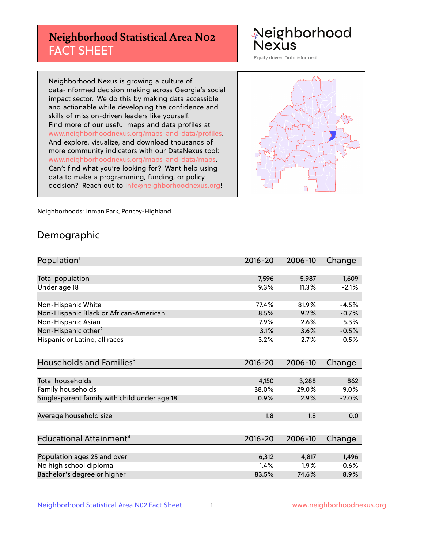# **Neighborhood Statistical Area N02** FACT SHEET

Neighborhood Nexus

Equity driven. Data informed.

Neighborhood Nexus is growing a culture of data-informed decision making across Georgia's social impact sector. We do this by making data accessible and actionable while developing the confidence and skills of mission-driven leaders like yourself. Find more of our useful maps and data profiles at www.neighborhoodnexus.org/maps-and-data/profiles. And explore, visualize, and download thousands of more community indicators with our DataNexus tool: www.neighborhoodnexus.org/maps-and-data/maps. Can't find what you're looking for? Want help using data to make a programming, funding, or policy decision? Reach out to [info@neighborhoodnexus.org!](mailto:info@neighborhoodnexus.org)



Neighborhoods: Inman Park, Poncey-Highland

### Demographic

| Population <sup>1</sup>                      | $2016 - 20$ | 2006-10 | Change  |
|----------------------------------------------|-------------|---------|---------|
|                                              |             |         |         |
| <b>Total population</b>                      | 7,596       | 5,987   | 1,609   |
| Under age 18                                 | 9.3%        | 11.3%   | $-2.1%$ |
|                                              |             |         |         |
| Non-Hispanic White                           | 77.4%       | 81.9%   | $-4.5%$ |
| Non-Hispanic Black or African-American       | 8.5%        | 9.2%    | $-0.7%$ |
| Non-Hispanic Asian                           | 7.9%        | 2.6%    | 5.3%    |
| Non-Hispanic other <sup>2</sup>              | 3.1%        | 3.6%    | $-0.5%$ |
| Hispanic or Latino, all races                | 3.2%        | 2.7%    | 0.5%    |
|                                              |             |         |         |
| Households and Families <sup>3</sup>         | $2016 - 20$ | 2006-10 | Change  |
|                                              |             |         |         |
| Total households                             | 4,150       | 3,288   | 862     |
| Family households                            | 38.0%       | 29.0%   | 9.0%    |
| Single-parent family with child under age 18 | 0.9%        | 2.9%    | $-2.0%$ |
| Average household size                       | 1.8         | 1.8     | 0.0     |
|                                              |             |         |         |
| Educational Attainment <sup>4</sup>          | $2016 - 20$ | 2006-10 | Change  |
|                                              |             |         |         |
| Population ages 25 and over                  | 6,312       | 4,817   | 1,496   |
| No high school diploma                       | 1.4%        | 1.9%    | $-0.6%$ |
| Bachelor's degree or higher                  | 83.5%       | 74.6%   | 8.9%    |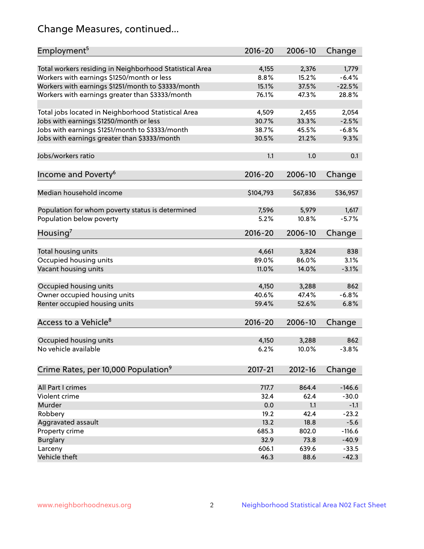# Change Measures, continued...

| Employment <sup>5</sup>                                 | $2016 - 20$ | 2006-10     | Change   |
|---------------------------------------------------------|-------------|-------------|----------|
| Total workers residing in Neighborhood Statistical Area | 4,155       | 2,376       | 1,779    |
| Workers with earnings \$1250/month or less              | 8.8%        | 15.2%       | $-6.4%$  |
| Workers with earnings \$1251/month to \$3333/month      | 15.1%       | 37.5%       | $-22.5%$ |
| Workers with earnings greater than \$3333/month         | 76.1%       | 47.3%       | 28.8%    |
|                                                         |             |             |          |
| Total jobs located in Neighborhood Statistical Area     | 4,509       | 2,455       | 2,054    |
| Jobs with earnings \$1250/month or less                 | 30.7%       | 33.3%       | $-2.5%$  |
| Jobs with earnings \$1251/month to \$3333/month         | 38.7%       | 45.5%       | $-6.8%$  |
| Jobs with earnings greater than \$3333/month            | 30.5%       | 21.2%       | 9.3%     |
|                                                         |             |             |          |
| Jobs/workers ratio                                      | 1.1         | 1.0         | 0.1      |
|                                                         |             |             |          |
| Income and Poverty <sup>6</sup>                         | $2016 - 20$ | 2006-10     | Change   |
|                                                         |             |             |          |
| Median household income                                 | \$104,793   | \$67,836    | \$36,957 |
|                                                         |             |             |          |
| Population for whom poverty status is determined        | 7,596       | 5,979       | 1,617    |
| Population below poverty                                | 5.2%        | 10.8%       | $-5.7%$  |
|                                                         |             |             |          |
| Housing <sup>7</sup>                                    | $2016 - 20$ | 2006-10     | Change   |
|                                                         |             |             |          |
| Total housing units                                     | 4,661       | 3,824       | 838      |
| Occupied housing units                                  | 89.0%       | 86.0%       | 3.1%     |
| Vacant housing units                                    | 11.0%       | 14.0%       | $-3.1%$  |
|                                                         |             |             |          |
| Occupied housing units                                  | 4,150       | 3,288       | 862      |
| Owner occupied housing units                            | 40.6%       | 47.4%       | $-6.8%$  |
| Renter occupied housing units                           | 59.4%       | 52.6%       | 6.8%     |
|                                                         |             |             |          |
| Access to a Vehicle <sup>8</sup>                        | $2016 - 20$ | 2006-10     | Change   |
|                                                         |             |             |          |
| Occupied housing units                                  | 4,150       | 3,288       | 862      |
| No vehicle available                                    | 6.2%        | 10.0%       | $-3.8%$  |
|                                                         |             |             |          |
| Crime Rates, per 10,000 Population <sup>9</sup>         | 2017-21     | $2012 - 16$ | Change   |
|                                                         |             |             |          |
| All Part I crimes                                       | 717.7       | 864.4       | $-146.6$ |
| Violent crime                                           | 32.4        | 62.4        | $-30.0$  |
| Murder                                                  | 0.0         | 1.1         | $-1.1$   |
| Robbery                                                 | 19.2        | 42.4        | $-23.2$  |
| Aggravated assault                                      | 13.2        | 18.8        | $-5.6$   |
| Property crime                                          | 685.3       | 802.0       | $-116.6$ |
| <b>Burglary</b>                                         | 32.9        | 73.8        | $-40.9$  |
| Larceny                                                 | 606.1       | 639.6       | $-33.5$  |
| Vehicle theft                                           | 46.3        | 88.6        | $-42.3$  |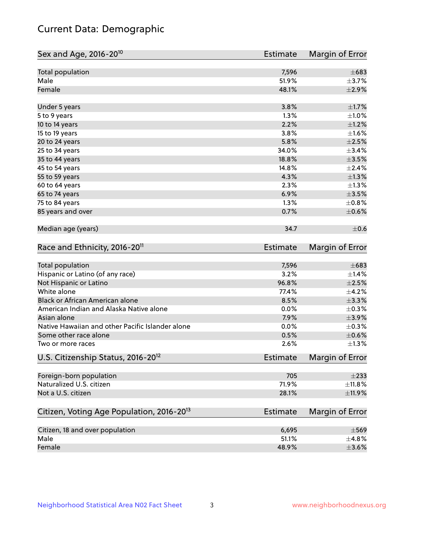# Current Data: Demographic

| Sex and Age, 2016-20 <sup>10</sup>                    | <b>Estimate</b> | Margin of Error |
|-------------------------------------------------------|-----------------|-----------------|
| Total population                                      | 7,596           | $\pm 683$       |
| Male                                                  | 51.9%           | $\pm$ 3.7%      |
| Female                                                | 48.1%           | $\pm 2.9\%$     |
| Under 5 years                                         | 3.8%            | $\pm1.7\%$      |
| 5 to 9 years                                          | 1.3%            | $\pm1.0\%$      |
| 10 to 14 years                                        | 2.2%            | $\pm 1.2\%$     |
| 15 to 19 years                                        | 3.8%            | $\pm 1.6\%$     |
| 20 to 24 years                                        | 5.8%            | $\pm 2.5\%$     |
| 25 to 34 years                                        | 34.0%           | ±3.4%           |
| 35 to 44 years                                        | 18.8%           | $\pm$ 3.5%      |
| 45 to 54 years                                        | 14.8%           | ±2.4%           |
| 55 to 59 years                                        | 4.3%            | ±1.3%           |
| 60 to 64 years                                        | 2.3%            | $\pm 1.3\%$     |
| 65 to 74 years                                        | 6.9%            | $\pm 3.5\%$     |
| 75 to 84 years                                        | 1.3%            | ±0.8%           |
| 85 years and over                                     | 0.7%            | $\pm$ 0.6%      |
| Median age (years)                                    | 34.7            | $\pm$ 0.6       |
| Race and Ethnicity, 2016-20 <sup>11</sup>             | <b>Estimate</b> | Margin of Error |
| <b>Total population</b>                               | 7,596           | $\pm 683$       |
| Hispanic or Latino (of any race)                      | 3.2%            | ±1.4%           |
| Not Hispanic or Latino                                | 96.8%           | $\pm 2.5\%$     |
| White alone                                           | 77.4%           | $\pm$ 4.2%      |
| Black or African American alone                       | 8.5%            | ±3.3%           |
| American Indian and Alaska Native alone               | 0.0%            | $\pm$ 0.3%      |
| Asian alone                                           | 7.9%            | $\pm$ 3.9%      |
| Native Hawaiian and other Pacific Islander alone      | 0.0%            | $\pm$ 0.3%      |
| Some other race alone                                 | 0.5%            | $\pm$ 0.6%      |
| Two or more races                                     | 2.6%            | $\pm 1.3\%$     |
| U.S. Citizenship Status, 2016-20 <sup>12</sup>        | <b>Estimate</b> | Margin of Error |
| Foreign-born population                               | 705             | $\pm 233$       |
| Naturalized U.S. citizen                              | 71.9%           | ±11.8%          |
| Not a U.S. citizen                                    | 28.1%           | $\pm$ 11.9%     |
| Citizen, Voting Age Population, 2016-20 <sup>13</sup> | Estimate        | Margin of Error |
| Citizen, 18 and over population                       | 6,695           | $\pm$ 569       |
| Male                                                  | 51.1%           | ±4.8%           |
| Female                                                | 48.9%           | $\pm 3.6\%$     |
|                                                       |                 |                 |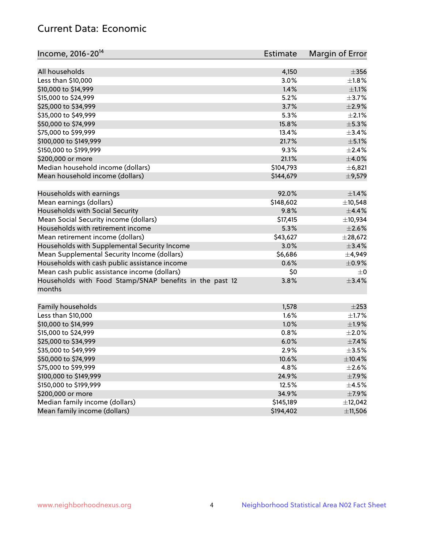# Current Data: Economic

| Income, 2016-20 <sup>14</sup>                           | Estimate  | Margin of Error |
|---------------------------------------------------------|-----------|-----------------|
|                                                         |           |                 |
| All households                                          | 4,150     | $\pm 356$       |
| Less than \$10,000                                      | 3.0%      | $\pm1.8\%$      |
| \$10,000 to \$14,999                                    | 1.4%      | $\pm 1.1\%$     |
| \$15,000 to \$24,999                                    | 5.2%      | $\pm$ 3.7%      |
| \$25,000 to \$34,999                                    | 3.7%      | $\pm 2.9\%$     |
| \$35,000 to \$49,999                                    | 5.3%      | $\pm 2.1\%$     |
| \$50,000 to \$74,999                                    | 15.8%     | $\pm$ 5.3%      |
| \$75,000 to \$99,999                                    | 13.4%     | ±3.4%           |
| \$100,000 to \$149,999                                  | 21.7%     | $\pm$ 5.1%      |
| \$150,000 to \$199,999                                  | 9.3%      | $\pm 2.4\%$     |
| \$200,000 or more                                       | 21.1%     | $\pm 4.0\%$     |
| Median household income (dollars)                       | \$104,793 | ±6,821          |
| Mean household income (dollars)                         | \$144,679 | ±9,579          |
| Households with earnings                                | 92.0%     | $\pm 1.4\%$     |
| Mean earnings (dollars)                                 | \$148,602 | ±10,548         |
| Households with Social Security                         | 9.8%      | $\pm$ 4.4%      |
| Mean Social Security income (dollars)                   | \$17,415  | ±10,934         |
| Households with retirement income                       | 5.3%      | $\pm 2.6\%$     |
| Mean retirement income (dollars)                        | \$43,627  | ±28,672         |
| Households with Supplemental Security Income            | 3.0%      | ±3.4%           |
| Mean Supplemental Security Income (dollars)             | \$6,686   | ±4,949          |
| Households with cash public assistance income           | 0.6%      | $\pm$ 0.9%      |
| Mean cash public assistance income (dollars)            | \$0       | $\pm 0$         |
| Households with Food Stamp/SNAP benefits in the past 12 | 3.8%      | $\pm$ 3.4%      |
| months                                                  |           |                 |
| Family households                                       | 1,578     | $\pm 253$       |
| Less than \$10,000                                      | 1.6%      | $\pm 1.7\%$     |
| \$10,000 to \$14,999                                    | 1.0%      | ±1.9%           |
| \$15,000 to \$24,999                                    | 0.8%      | $\pm 2.0\%$     |
|                                                         |           |                 |
| \$25,000 to \$34,999                                    | 6.0%      | ±7.4%           |
| \$35,000 to \$49,999                                    | 2.9%      | $\pm 3.5\%$     |
| \$50,000 to \$74,999                                    | 10.6%     | ±10.4%          |
| \$75,000 to \$99,999                                    | 4.8%      | $\pm 2.6\%$     |
| \$100,000 to \$149,999                                  | 24.9%     | $\pm$ 7.9%      |
| \$150,000 to \$199,999                                  | 12.5%     | $\pm 4.5\%$     |
| \$200,000 or more                                       | 34.9%     | $\pm$ 7.9%      |
| Median family income (dollars)                          | \$145,189 | ±12,042         |
| Mean family income (dollars)                            | \$194,402 | ±11,506         |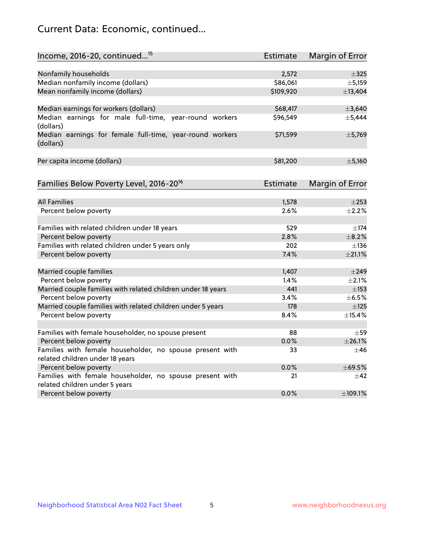# Current Data: Economic, continued...

| Income, 2016-20, continued <sup>15</sup>                                                   | <b>Estimate</b> | Margin of Error        |
|--------------------------------------------------------------------------------------------|-----------------|------------------------|
|                                                                                            |                 |                        |
| Nonfamily households                                                                       | 2,572           | $\pm$ 325              |
| Median nonfamily income (dollars)                                                          | \$86,061        | ± 5,159                |
| Mean nonfamily income (dollars)                                                            | \$109,920       | ±13,404                |
| Median earnings for workers (dollars)                                                      | \$68,417        | ±3,640                 |
| Median earnings for male full-time, year-round workers<br>(dollars)                        | \$96,549        | ±5,444                 |
| Median earnings for female full-time, year-round workers<br>(dollars)                      | \$71,599        | ±5,769                 |
| Per capita income (dollars)                                                                | \$81,200        | $\pm$ 5,160            |
| Families Below Poverty Level, 2016-20 <sup>16</sup>                                        | <b>Estimate</b> | <b>Margin of Error</b> |
|                                                                                            |                 |                        |
| <b>All Families</b>                                                                        | 1,578           | $\pm 253$              |
| Percent below poverty                                                                      | 2.6%            | $\pm$ 2.2%             |
| Families with related children under 18 years                                              | 529             | $\pm$ 174              |
| Percent below poverty                                                                      | 2.8%            | $\pm$ 8.2%             |
| Families with related children under 5 years only                                          | 202             | $\pm$ 136              |
| Percent below poverty                                                                      | 7.4%            | $\pm 21.1\%$           |
| Married couple families                                                                    | 1,407           | $\pm$ 249              |
| Percent below poverty                                                                      | 1.4%            | $\pm 2.1\%$            |
| Married couple families with related children under 18 years                               | 441             | $\pm$ 153              |
| Percent below poverty                                                                      | 3.4%            | $\pm$ 6.5%             |
| Married couple families with related children under 5 years                                | 178             | $\pm$ 125              |
| Percent below poverty                                                                      | 8.4%            | ±15.4%                 |
|                                                                                            |                 |                        |
| Families with female householder, no spouse present                                        | 88              | $\pm$ 59               |
| Percent below poverty                                                                      | 0.0%            | ±26.1%                 |
| Families with female householder, no spouse present with                                   | 33              | $\pm 46$               |
| related children under 18 years                                                            |                 |                        |
| Percent below poverty                                                                      | 0.0%            | ±69.5%                 |
| Families with female householder, no spouse present with<br>related children under 5 years | 21              | $\pm$ 42               |
| Percent below poverty                                                                      | 0.0%            | ±109.1%                |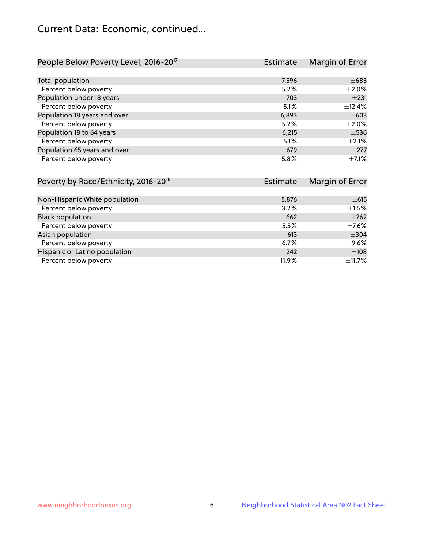# Current Data: Economic, continued...

| People Below Poverty Level, 2016-20 <sup>17</sup> | <b>Estimate</b> | Margin of Error |
|---------------------------------------------------|-----------------|-----------------|
|                                                   |                 |                 |
| Total population                                  | 7,596           | $\pm 683$       |
| Percent below poverty                             | 5.2%            | $\pm 2.0\%$     |
| Population under 18 years                         | 703             | $+231$          |
| Percent below poverty                             | 5.1%            | ±12.4%          |
| Population 18 years and over                      | 6,893           | $\pm 603$       |
| Percent below poverty                             | 5.2%            | $\pm 2.0\%$     |
| Population 18 to 64 years                         | 6,215           | $\pm$ 536       |
| Percent below poverty                             | 5.1%            | $+2.1%$         |
| Population 65 years and over                      | 679             | $\pm 277$       |
| Percent below poverty                             | 5.8%            | $+7.1%$         |

| Poverty by Race/Ethnicity, 2016-20 <sup>18</sup><br><b>Estimate</b> |       | Margin of Error |  |
|---------------------------------------------------------------------|-------|-----------------|--|
|                                                                     |       |                 |  |
| Non-Hispanic White population                                       | 5,876 | $\pm 615$       |  |
| Percent below poverty                                               | 3.2%  | $\pm 1.5\%$     |  |
| <b>Black population</b>                                             | 662   | $\pm 262$       |  |
| Percent below poverty                                               | 15.5% | $\pm$ 7.6%      |  |
| Asian population                                                    | 613   | $\pm$ 304       |  |
| Percent below poverty                                               | 6.7%  | $\pm$ 9.6%      |  |
| Hispanic or Latino population                                       | 242   | ±108            |  |
| Percent below poverty                                               | 11.9% | ±11.7%          |  |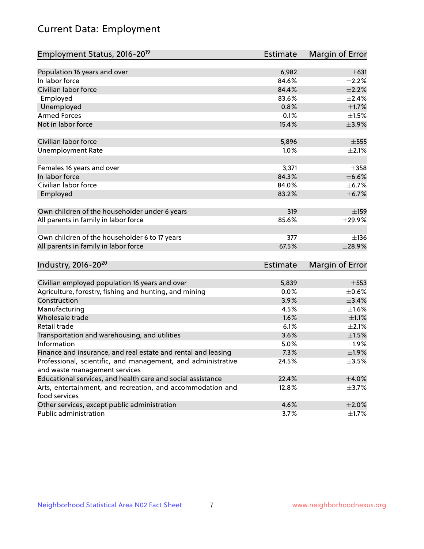# Current Data: Employment

| Employment Status, 2016-20 <sup>19</sup>                                    | <b>Estimate</b> | Margin of Error |
|-----------------------------------------------------------------------------|-----------------|-----------------|
|                                                                             |                 |                 |
| Population 16 years and over                                                | 6,982           | $\pm 631$       |
| In labor force                                                              | 84.6%           | $\pm 2.2\%$     |
| Civilian labor force                                                        | 84.4%           | $\pm 2.2\%$     |
| Employed                                                                    | 83.6%           | $\pm 2.4\%$     |
| Unemployed                                                                  | 0.8%            | $\pm1.7\%$      |
| <b>Armed Forces</b>                                                         | 0.1%            | $\pm1.5\%$      |
| Not in labor force                                                          | 15.4%           | $\pm$ 3.9%      |
| Civilian labor force                                                        | 5,896           | $\pm$ 555       |
| <b>Unemployment Rate</b>                                                    | 1.0%            | $\pm 2.1\%$     |
| Females 16 years and over                                                   | 3,371           | $\pm$ 358       |
| In labor force                                                              | 84.3%           | $\pm$ 6.6%      |
| Civilian labor force                                                        | 84.0%           | ±6.7%           |
| Employed                                                                    | 83.2%           | ±6.7%           |
|                                                                             |                 |                 |
| Own children of the householder under 6 years                               | 319             | $\pm$ 159       |
| All parents in family in labor force                                        | 85.6%           | ±29.9%          |
|                                                                             |                 |                 |
| Own children of the householder 6 to 17 years                               | 377             | ±136            |
| All parents in family in labor force                                        | 67.5%           | ±28.9%          |
|                                                                             |                 |                 |
| Industry, 2016-20 <sup>20</sup>                                             | <b>Estimate</b> | Margin of Error |
|                                                                             |                 |                 |
| Civilian employed population 16 years and over                              | 5,839           | $\pm$ 553       |
| Agriculture, forestry, fishing and hunting, and mining                      | 0.0%            | $\pm$ 0.6%      |
| Construction                                                                | 3.9%            | $\pm$ 3.4%      |
| Manufacturing                                                               | 4.5%            | $\pm 1.6\%$     |
| Wholesale trade                                                             | 1.6%            | $\pm 1.1\%$     |
| Retail trade                                                                | 6.1%            | $\pm 2.1\%$     |
| Transportation and warehousing, and utilities                               | 3.6%            | $\pm 1.5\%$     |
| Information                                                                 | 5.0%            | ±1.9%           |
| Finance and insurance, and real estate and rental and leasing               | 7.3%            | $\pm 1.9\%$     |
| Professional, scientific, and management, and administrative                | 24.5%           | $\pm$ 3.5%      |
| and waste management services                                               |                 |                 |
| Educational services, and health care and social assistance                 | 22.4%           | $\pm 4.0\%$     |
| Arts, entertainment, and recreation, and accommodation and<br>food services | 12.8%           | $\pm$ 3.7%      |
| Other services, except public administration                                | 4.6%            | $\pm 2.0\%$     |
| Public administration                                                       | 3.7%            | $\pm$ 1.7%      |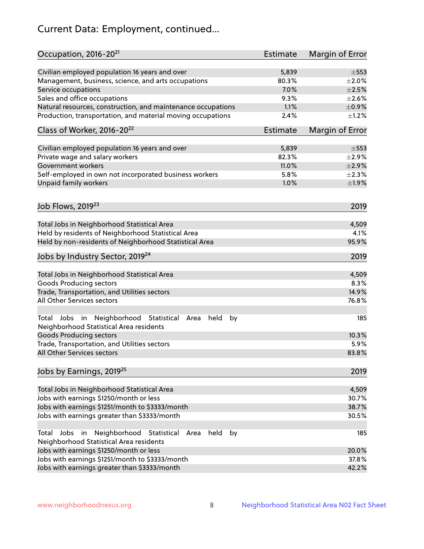# Current Data: Employment, continued...

| Occupation, 2016-20 <sup>21</sup>                                                                                | <b>Estimate</b> | Margin of Error |
|------------------------------------------------------------------------------------------------------------------|-----------------|-----------------|
| Civilian employed population 16 years and over                                                                   | 5,839           | $\pm$ 553       |
| Management, business, science, and arts occupations                                                              | 80.3%           | ±2.0%           |
| Service occupations                                                                                              | 7.0%            | $\pm 2.5\%$     |
| Sales and office occupations                                                                                     | 9.3%            | $\pm 2.6\%$     |
| Natural resources, construction, and maintenance occupations                                                     | 1.1%            | $\pm$ 0.9%      |
| Production, transportation, and material moving occupations                                                      | 2.4%            | $\pm$ 1.2%      |
| Class of Worker, 2016-20 <sup>22</sup>                                                                           | Estimate        | Margin of Error |
| Civilian employed population 16 years and over                                                                   | 5,839           | $\pm$ 553       |
| Private wage and salary workers                                                                                  | 82.3%           | $\pm 2.9\%$     |
| Government workers                                                                                               | 11.0%           | $\pm 2.9\%$     |
| Self-employed in own not incorporated business workers                                                           | 5.8%            | $\pm 2.3\%$     |
| Unpaid family workers                                                                                            | 1.0%            | ±1.9%           |
| Job Flows, 2019 <sup>23</sup>                                                                                    |                 | 2019            |
|                                                                                                                  |                 |                 |
| Total Jobs in Neighborhood Statistical Area                                                                      |                 | 4,509           |
| Held by residents of Neighborhood Statistical Area                                                               |                 | 4.1%            |
| Held by non-residents of Neighborhood Statistical Area                                                           |                 | 95.9%           |
| Jobs by Industry Sector, 2019 <sup>24</sup>                                                                      |                 | 2019            |
| Total Jobs in Neighborhood Statistical Area                                                                      |                 | 4,509           |
| <b>Goods Producing sectors</b>                                                                                   |                 | 8.3%            |
| Trade, Transportation, and Utilities sectors                                                                     |                 | 14.9%           |
| All Other Services sectors                                                                                       |                 | 76.8%           |
| Total Jobs in Neighborhood Statistical<br>held<br>by<br>Area<br>Neighborhood Statistical Area residents          |                 | 185             |
| <b>Goods Producing sectors</b>                                                                                   |                 | 10.3%           |
| Trade, Transportation, and Utilities sectors                                                                     |                 | 5.9%            |
| All Other Services sectors                                                                                       |                 | 83.8%           |
| Jobs by Earnings, 2019 <sup>25</sup>                                                                             |                 | 2019            |
| Total Jobs in Neighborhood Statistical Area                                                                      |                 | 4,509           |
| Jobs with earnings \$1250/month or less                                                                          |                 | 30.7%           |
| Jobs with earnings \$1251/month to \$3333/month                                                                  |                 | 38.7%           |
| Jobs with earnings greater than \$3333/month                                                                     |                 | 30.5%           |
| Neighborhood Statistical<br>Jobs<br>in<br>held<br>by<br>Total<br>Area<br>Neighborhood Statistical Area residents |                 | 185             |
| Jobs with earnings \$1250/month or less                                                                          |                 | 20.0%           |
| Jobs with earnings \$1251/month to \$3333/month                                                                  |                 | 37.8%           |
| Jobs with earnings greater than \$3333/month                                                                     |                 | 42.2%           |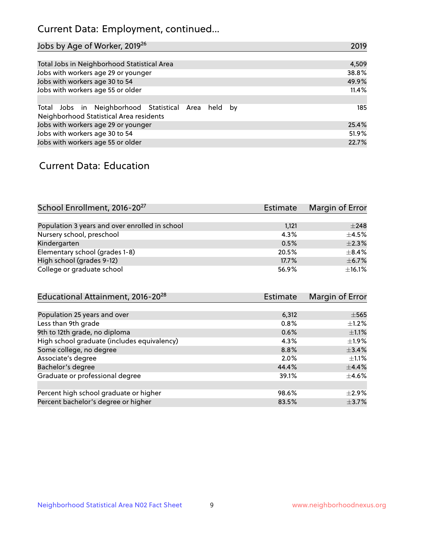# Current Data: Employment, continued...

| Jobs by Age of Worker, 2019 <sup>26</sup>                                                      | 2019  |
|------------------------------------------------------------------------------------------------|-------|
|                                                                                                |       |
| Total Jobs in Neighborhood Statistical Area                                                    | 4,509 |
| Jobs with workers age 29 or younger                                                            | 38.8% |
| Jobs with workers age 30 to 54                                                                 | 49.9% |
| Jobs with workers age 55 or older                                                              | 11.4% |
|                                                                                                |       |
| Total Jobs in Neighborhood Statistical Area held by<br>Neighborhood Statistical Area residents | 185   |
| Jobs with workers age 29 or younger                                                            | 25.4% |
| Jobs with workers age 30 to 54                                                                 | 51.9% |
| Jobs with workers age 55 or older                                                              | 22.7% |

### Current Data: Education

| School Enrollment, 2016-20 <sup>27</sup>       | Estimate | Margin of Error |
|------------------------------------------------|----------|-----------------|
|                                                |          |                 |
| Population 3 years and over enrolled in school | 1,121    | $\pm 248$       |
| Nursery school, preschool                      | 4.3%     | $+4.5%$         |
| Kindergarten                                   | 0.5%     | $\pm 2.3\%$     |
| Elementary school (grades 1-8)                 | 20.5%    | $\pm$ 8.4%      |
| High school (grades 9-12)                      | 17.7%    | $\pm$ 6.7%      |
| College or graduate school                     | 56.9%    | ±16.1%          |

| Educational Attainment, 2016-20 <sup>28</sup> | <b>Estimate</b> | Margin of Error |
|-----------------------------------------------|-----------------|-----------------|
|                                               |                 |                 |
| Population 25 years and over                  | 6,312           | $\pm$ 565       |
| Less than 9th grade                           | 0.8%            | $+1.2%$         |
| 9th to 12th grade, no diploma                 | 0.6%            | $\pm 1.1\%$     |
| High school graduate (includes equivalency)   | 4.3%            | $\pm 1.9\%$     |
| Some college, no degree                       | 8.8%            | $\pm$ 3.4%      |
| Associate's degree                            | 2.0%            | $\pm 1.1\%$     |
| Bachelor's degree                             | 44.4%           | $\pm$ 4.4%      |
| Graduate or professional degree               | 39.1%           | $\pm$ 4.6%      |
|                                               |                 |                 |
| Percent high school graduate or higher        | 98.6%           | $\pm 2.9\%$     |
| Percent bachelor's degree or higher           | 83.5%           | $\pm$ 3.7%      |
|                                               |                 |                 |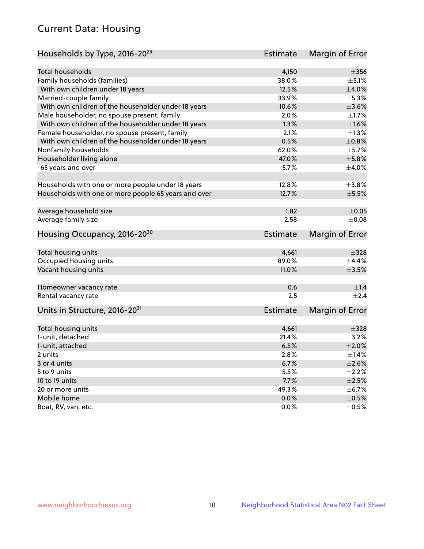# Current Data: Housing

| Households by Type, 2016-20 <sup>29</sup>            | <b>Estimate</b> | Margin of Error |
|------------------------------------------------------|-----------------|-----------------|
|                                                      |                 |                 |
| Total households                                     | 4,150           | $\pm 356$       |
| Family households (families)                         | 38.0%           | $\pm$ 5.1%      |
| With own children under 18 years                     | 12.5%           | $\pm$ 4.0%      |
| Married-couple family                                | 33.9%           | $\pm$ 5.3%      |
| With own children of the householder under 18 years  | 10.6%           | $\pm 3.6\%$     |
| Male householder, no spouse present, family          | 2.0%            | ±1.7%           |
| With own children of the householder under 18 years  | 1.3%            | $\pm1.6\%$      |
| Female householder, no spouse present, family        | 2.1%            | $\pm 1.3\%$     |
| With own children of the householder under 18 years  | 0.5%            | ±0.8%           |
| Nonfamily households                                 | 62.0%           | $\pm$ 5.7%      |
| Householder living alone                             | 47.0%           | ±5.8%           |
| 65 years and over                                    | 5.7%            | $\pm$ 4.0%      |
|                                                      |                 |                 |
| Households with one or more people under 18 years    | 12.8%           | $\pm$ 3.8%      |
| Households with one or more people 65 years and over | 12.7%           | $\pm$ 5.5%      |
|                                                      |                 |                 |
| Average household size                               | 1.82            | $\pm$ 0.05      |
| Average family size                                  | 2.58            | $\pm$ 0.08      |
| Housing Occupancy, 2016-20 <sup>30</sup>             | <b>Estimate</b> | Margin of Error |
|                                                      | 4,661           | $\pm$ 328       |
| Total housing units                                  | 89.0%           |                 |
| Occupied housing units                               |                 | $\pm$ 4.4%      |
| Vacant housing units                                 | 11.0%           | $\pm$ 3.5%      |
| Homeowner vacancy rate                               | 0.6             | ±1.4            |
| Rental vacancy rate                                  | 2.5             | $+2.4$          |
| Units in Structure, 2016-20 <sup>31</sup>            | Estimate        | Margin of Error |
|                                                      |                 |                 |
| Total housing units                                  | 4,661           | $\pm$ 328       |
| 1-unit, detached                                     | 21.4%           | $\pm$ 3.2%      |
| 1-unit, attached                                     | 6.5%            | $\pm 2.0\%$     |
| 2 units                                              | 2.8%            | $\pm$ 1.4%      |
| 3 or 4 units                                         | 6.7%            | $\pm 2.6\%$     |
| 5 to 9 units                                         | 5.5%            | $\pm 2.2\%$     |
| 10 to 19 units                                       | 7.7%            | $\pm 2.5\%$     |
| 20 or more units                                     | 49.3%           | $\pm$ 6.7%      |
| Mobile home                                          | 0.0%            | $\pm$ 0.5%      |
| Boat, RV, van, etc.                                  | $0.0\%$         | $\pm$ 0.5%      |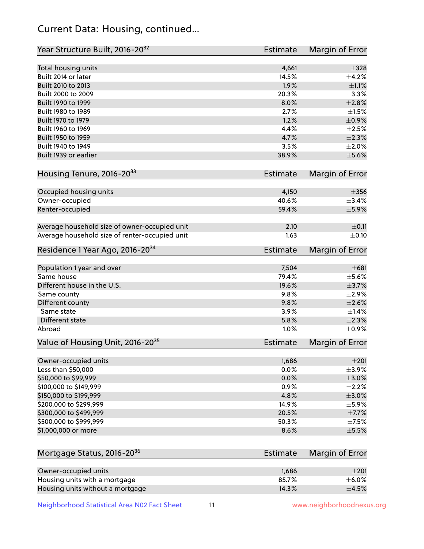# Current Data: Housing, continued...

| Year Structure Built, 2016-20 <sup>32</sup>    | Estimate        | <b>Margin of Error</b> |
|------------------------------------------------|-----------------|------------------------|
| Total housing units                            | 4,661           | $\pm$ 328              |
| Built 2014 or later                            | 14.5%           | ±4.2%                  |
| Built 2010 to 2013                             | 1.9%            | $\pm 1.1\%$            |
| Built 2000 to 2009                             | 20.3%           | ±3.3%                  |
| Built 1990 to 1999                             | 8.0%            | $\pm 2.8\%$            |
| Built 1980 to 1989                             | 2.7%            | $\pm1.5\%$             |
| Built 1970 to 1979                             | 1.2%            | $\pm$ 0.9%             |
| Built 1960 to 1969                             | 4.4%            | $\pm 2.5\%$            |
| Built 1950 to 1959                             | 4.7%            | $\pm 2.3\%$            |
| Built 1940 to 1949                             | 3.5%            | $\pm 2.0\%$            |
| Built 1939 or earlier                          | 38.9%           | $\pm$ 5.6%             |
| Housing Tenure, 2016-2033                      | Estimate        | Margin of Error        |
| Occupied housing units                         | 4,150           | $\pm 356$              |
| Owner-occupied                                 | 40.6%           | $\pm$ 3.4%             |
| Renter-occupied                                | 59.4%           | $\pm$ 5.9%             |
| Average household size of owner-occupied unit  | 2.10            | $\pm$ 0.11             |
| Average household size of renter-occupied unit | 1.63            | $\pm$ 0.10             |
| Residence 1 Year Ago, 2016-20 <sup>34</sup>    | <b>Estimate</b> | <b>Margin of Error</b> |
| Population 1 year and over                     | 7,504           | $\pm 681$              |
| Same house                                     | 79.4%           | $\pm$ 5.6%             |
| Different house in the U.S.                    | 19.6%           | $\pm$ 3.7%             |
| Same county                                    | 9.8%            | $\pm 2.9\%$            |
| Different county                               | 9.8%            | $\pm 2.6\%$            |
| Same state                                     | 3.9%            | $\pm$ 1.4%             |
| Different state                                | 5.8%            | $\pm 2.3\%$            |
| Abroad                                         | 1.0%            | $\pm$ 0.9%             |
| Value of Housing Unit, 2016-20 <sup>35</sup>   | <b>Estimate</b> | Margin of Error        |
| Owner-occupied units                           | 1,686           | ±201                   |
| Less than \$50,000                             | 0.0%            | $\pm$ 3.9%             |
| \$50,000 to \$99,999                           | 0.0%            | $\pm 3.0\%$            |
| \$100,000 to \$149,999                         | 0.9%            | $\pm 2.2\%$            |
| \$150,000 to \$199,999                         | 4.8%            | $\pm 3.0\%$            |
| \$200,000 to \$299,999                         | 14.9%           | $\pm$ 5.9%             |
| \$300,000 to \$499,999                         | 20.5%           | $\pm$ 7.7%             |
| \$500,000 to \$999,999                         | 50.3%           | $\pm$ 7.5%             |
| \$1,000,000 or more                            | 8.6%            | $\pm$ 5.5%             |
| Mortgage Status, 2016-20 <sup>36</sup>         | <b>Estimate</b> | Margin of Error        |
| Owner-occupied units                           | 1,686           | $\pm 201$              |
| Housing units with a mortgage                  | 85.7%           | $\pm$ 6.0%             |
|                                                |                 |                        |

Neighborhood Statistical Area N02 Fact Sheet 11 11 www.neighborhoodnexus.org

Housing units without a mortgage  $\pm 4.5\%$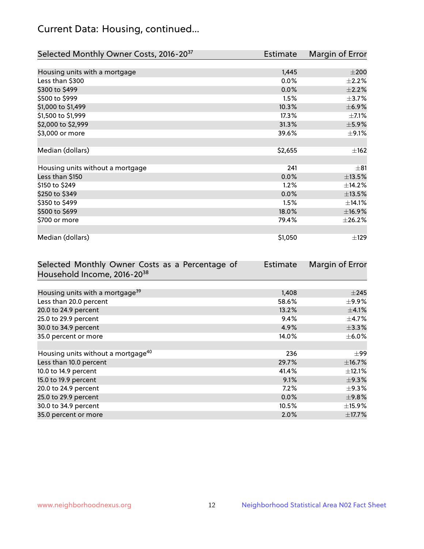# Current Data: Housing, continued...

| Selected Monthly Owner Costs, 2016-20 <sup>37</sup> | <b>Estimate</b> | Margin of Error |
|-----------------------------------------------------|-----------------|-----------------|
|                                                     |                 |                 |
| Housing units with a mortgage                       | 1,445           | $\pm 200$       |
| Less than \$300                                     | 0.0%            | $\pm 2.2\%$     |
| \$300 to \$499                                      | 0.0%            | $\pm 2.2\%$     |
| \$500 to \$999                                      | 1.5%            | $\pm$ 3.7%      |
| \$1,000 to \$1,499                                  | 10.3%           | $\pm$ 6.9%      |
| \$1,500 to \$1,999                                  | 17.3%           | $\pm$ 7.1%      |
| \$2,000 to \$2,999                                  | 31.3%           | $\pm$ 5.9%      |
| \$3,000 or more                                     | 39.6%           | $\pm$ 9.1%      |
|                                                     |                 |                 |
| Median (dollars)                                    | \$2,655         | ±162            |
|                                                     |                 |                 |
| Housing units without a mortgage                    | 241             | $\pm$ 81        |
| Less than \$150                                     | 0.0%            | ±13.5%          |
| \$150 to \$249                                      | 1.2%            | ±14.2%          |
| \$250 to \$349                                      | 0.0%            | ±13.5%          |
| \$350 to \$499                                      | 1.5%            | ±14.1%          |
| \$500 to \$699                                      | 18.0%           | ±16.9%          |
| \$700 or more                                       | 79.4%           | ±26.2%          |
|                                                     |                 |                 |
| Median (dollars)                                    | \$1,050         | ±129            |

| Selected Monthly Owner Costs as a Percentage of | <b>Estimate</b> | Margin of Error |
|-------------------------------------------------|-----------------|-----------------|
| Household Income, 2016-20 <sup>38</sup>         |                 |                 |
|                                                 |                 |                 |
| Housing units with a mortgage <sup>39</sup>     | 1,408           | $\pm 245$       |
| Less than 20.0 percent                          | 58.6%           | $\pm$ 9.9%      |
| 20.0 to 24.9 percent                            | 13.2%           | $\pm$ 4.1%      |
| 25.0 to 29.9 percent                            | 9.4%            | $\pm$ 4.7%      |
| 30.0 to 34.9 percent                            | 4.9%            | $\pm$ 3.3%      |
| 35.0 percent or more                            | 14.0%           | $\pm$ 6.0%      |
|                                                 |                 |                 |
| Housing units without a mortgage <sup>40</sup>  | 236             | $\pm$ 99        |
| Less than 10.0 percent                          | 29.7%           | $\pm$ 16.7%     |
| 10.0 to 14.9 percent                            | 41.4%           | $\pm$ 12.1%     |
| 15.0 to 19.9 percent                            | 9.1%            | $\pm$ 9.3%      |
| 20.0 to 24.9 percent                            | $7.2\%$         | $\pm$ 9.3%      |
| 25.0 to 29.9 percent                            | $0.0\%$         | $\pm$ 9.8%      |
| 30.0 to 34.9 percent                            | 10.5%           | $\pm$ 15.9%     |
| 35.0 percent or more                            | $2.0\%$         | $\pm$ 17.7%     |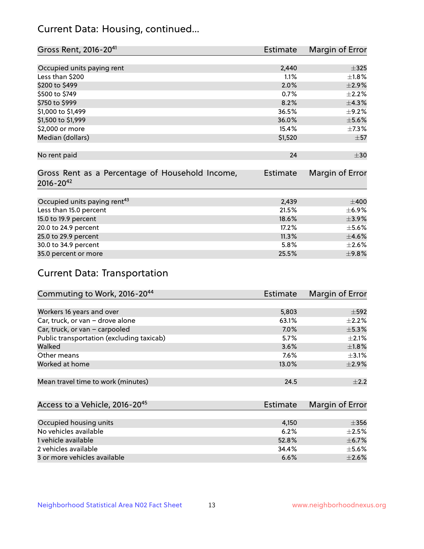# Current Data: Housing, continued...

| Gross Rent, 2016-20 <sup>41</sup>                                   | <b>Estimate</b> | Margin of Error |
|---------------------------------------------------------------------|-----------------|-----------------|
|                                                                     |                 |                 |
| Occupied units paying rent                                          | 2,440           | $\pm$ 325       |
| Less than \$200                                                     | 1.1%            | $\pm1.8\%$      |
| \$200 to \$499                                                      | 2.0%            | $\pm 2.9\%$     |
| \$500 to \$749                                                      | 0.7%            | $\pm 2.2\%$     |
| \$750 to \$999                                                      | 8.2%            | ±4.3%           |
| \$1,000 to \$1,499                                                  | 36.5%           | $\pm$ 9.2%      |
| \$1,500 to \$1,999                                                  | 36.0%           | $\pm$ 5.6%      |
| \$2,000 or more                                                     | 15.4%           | $\pm$ 7.3%      |
| Median (dollars)                                                    | \$1,520         | $\pm 57$        |
|                                                                     |                 |                 |
| No rent paid                                                        | 24              | $\pm$ 30        |
| Gross Rent as a Percentage of Household Income,<br>$2016 - 20^{42}$ | <b>Estimate</b> | Margin of Error |
|                                                                     |                 |                 |
| Occupied units paying rent <sup>43</sup>                            | 2,439           | $\pm 400$       |
| Less than 15.0 percent                                              | 21.5%           | $\pm$ 6.9%      |
| 15.0 to 19.9 percent                                                | 18.6%           | $\pm$ 3.9%      |
| 20.0 to 24.9 percent                                                | 17.2%           | $\pm$ 5.6%      |
| 25.0 to 29.9 percent                                                | 11.3%           | $\pm 4.6\%$     |
| 30.0 to 34.9 percent                                                | 5.8%            | $\pm 2.6\%$     |
| 35.0 percent or more                                                | 25.5%           | $\pm$ 9.8%      |

# Current Data: Transportation

| Commuting to Work, 2016-20 <sup>44</sup>  | <b>Estimate</b> | Margin of Error |
|-------------------------------------------|-----------------|-----------------|
|                                           |                 |                 |
| Workers 16 years and over                 | 5,803           | $\pm$ 592       |
| Car, truck, or van - drove alone          | 63.1%           | $\pm 2.2\%$     |
| Car, truck, or van - carpooled            | 7.0%            | $\pm$ 5.3%      |
| Public transportation (excluding taxicab) | 5.7%            | $+2.1%$         |
| Walked                                    | 3.6%            | $\pm1.8\%$      |
| Other means                               | $7.6\%$         | $\pm$ 3.1%      |
| Worked at home                            | 13.0%           | $\pm 2.9\%$     |
|                                           |                 |                 |
| Mean travel time to work (minutes)        | 24.5            | $+2.2$          |

| Access to a Vehicle, 2016-20 <sup>45</sup> | Estimate | Margin of Error |
|--------------------------------------------|----------|-----------------|
|                                            |          |                 |
| Occupied housing units                     | 4.150    | $\pm$ 356       |
| No vehicles available                      | 6.2%     | $+2.5%$         |
| 1 vehicle available                        | 52.8%    | $\pm$ 6.7%      |
| 2 vehicles available                       | 34.4%    | $\pm$ 5.6%      |
| 3 or more vehicles available               | 6.6%     | $+2.6%$         |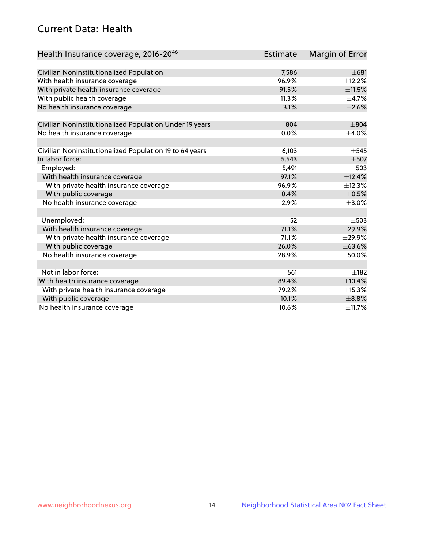# Current Data: Health

| Health Insurance coverage, 2016-2046                    | <b>Estimate</b> | <b>Margin of Error</b> |
|---------------------------------------------------------|-----------------|------------------------|
|                                                         |                 |                        |
| Civilian Noninstitutionalized Population                | 7,586           | $\pm 681$              |
| With health insurance coverage                          | 96.9%           | ±12.2%                 |
| With private health insurance coverage                  | 91.5%           | ±11.5%                 |
| With public health coverage                             | 11.3%           | $\pm$ 4.7%             |
| No health insurance coverage                            | 3.1%            | $\pm 2.6\%$            |
| Civilian Noninstitutionalized Population Under 19 years | 804             | $\pm$ 804              |
| No health insurance coverage                            | 0.0%            | $\pm$ 4.0%             |
|                                                         |                 |                        |
| Civilian Noninstitutionalized Population 19 to 64 years | 6,103           | $\pm$ 545              |
| In labor force:                                         | 5,543           | $\pm$ 507              |
| Employed:                                               | 5,491           | $\pm$ 503              |
| With health insurance coverage                          | 97.1%           | ±12.4%                 |
| With private health insurance coverage                  | 96.9%           | ±12.3%                 |
| With public coverage                                    | 0.4%            | $\pm$ 0.5%             |
| No health insurance coverage                            | 2.9%            | $\pm 3.0\%$            |
|                                                         |                 |                        |
| Unemployed:                                             | 52              | $\pm$ 503              |
| With health insurance coverage                          | 71.1%           | ±29.9%                 |
| With private health insurance coverage                  | 71.1%           | ±29.9%                 |
| With public coverage                                    | 26.0%           | ±63.6%                 |
| No health insurance coverage                            | 28.9%           | $\pm$ 50.0%            |
|                                                         |                 |                        |
| Not in labor force:                                     | 561             | $+182$                 |
| With health insurance coverage                          | 89.4%           | ±10.4%                 |
| With private health insurance coverage                  | 79.2%           | ±15.3%                 |
| With public coverage                                    | 10.1%           | $\pm$ 8.8%             |
| No health insurance coverage                            | 10.6%           | ±11.7%                 |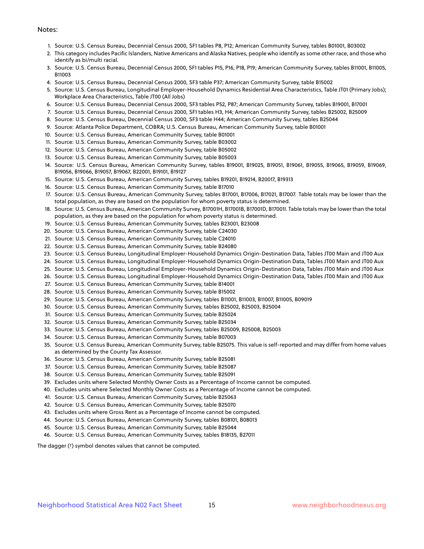#### Notes:

- 1. Source: U.S. Census Bureau, Decennial Census 2000, SF1 tables P8, P12; American Community Survey, tables B01001, B03002
- 2. This category includes Pacific Islanders, Native Americans and Alaska Natives, people who identify as some other race, and those who identify as bi/multi racial.
- 3. Source: U.S. Census Bureau, Decennial Census 2000, SF1 tables P15, P16, P18, P19; American Community Survey, tables B11001, B11005, B11003
- 4. Source: U.S. Census Bureau, Decennial Census 2000, SF3 table P37; American Community Survey, table B15002
- 5. Source: U.S. Census Bureau, Longitudinal Employer-Household Dynamics Residential Area Characteristics, Table JT01 (Primary Jobs); Workplace Area Characteristics, Table JT00 (All Jobs)
- 6. Source: U.S. Census Bureau, Decennial Census 2000, SF3 tables P52, P87; American Community Survey, tables B19001, B17001
- 7. Source: U.S. Census Bureau, Decennial Census 2000, SF1 tables H3, H4; American Community Survey, tables B25002, B25009
- 8. Source: U.S. Census Bureau, Decennial Census 2000, SF3 table H44; American Community Survey, tables B25044
- 9. Source: Atlanta Police Department, COBRA; U.S. Census Bureau, American Community Survey, table B01001
- 10. Source: U.S. Census Bureau, American Community Survey, table B01001
- 11. Source: U.S. Census Bureau, American Community Survey, table B03002
- 12. Source: U.S. Census Bureau, American Community Survey, table B05002
- 13. Source: U.S. Census Bureau, American Community Survey, table B05003
- 14. Source: U.S. Census Bureau, American Community Survey, tables B19001, B19025, B19051, B19061, B19055, B19065, B19059, B19069, B19056, B19066, B19057, B19067, B22001, B19101, B19127
- 15. Source: U.S. Census Bureau, American Community Survey, tables B19201, B19214, B20017, B19313
- 16. Source: U.S. Census Bureau, American Community Survey, table B17010
- 17. Source: U.S. Census Bureau, American Community Survey, tables B17001, B17006, B17021, B17007. Table totals may be lower than the total population, as they are based on the population for whom poverty status is determined.
- 18. Source: U.S. Census Bureau, American Community Survey, B17001H, B17001B, B17001D, B17001I. Table totals may be lower than the total population, as they are based on the population for whom poverty status is determined.
- 19. Source: U.S. Census Bureau, American Community Survey, tables B23001, B23008
- 20. Source: U.S. Census Bureau, American Community Survey, table C24030
- 21. Source: U.S. Census Bureau, American Community Survey, table C24010
- 22. Source: U.S. Census Bureau, American Community Survey, table B24080
- 23. Source: U.S. Census Bureau, Longitudinal Employer-Household Dynamics Origin-Destination Data, Tables JT00 Main and JT00 Aux
- 24. Source: U.S. Census Bureau, Longitudinal Employer-Household Dynamics Origin-Destination Data, Tables JT00 Main and JT00 Aux
- 25. Source: U.S. Census Bureau, Longitudinal Employer-Household Dynamics Origin-Destination Data, Tables JT00 Main and JT00 Aux
- 26. Source: U.S. Census Bureau, Longitudinal Employer-Household Dynamics Origin-Destination Data, Tables JT00 Main and JT00 Aux
- 27. Source: U.S. Census Bureau, American Community Survey, table B14001
- 28. Source: U.S. Census Bureau, American Community Survey, table B15002
- 29. Source: U.S. Census Bureau, American Community Survey, tables B11001, B11003, B11007, B11005, B09019
- 30. Source: U.S. Census Bureau, American Community Survey, tables B25002, B25003, B25004
- 31. Source: U.S. Census Bureau, American Community Survey, table B25024
- 32. Source: U.S. Census Bureau, American Community Survey, table B25034
- 33. Source: U.S. Census Bureau, American Community Survey, tables B25009, B25008, B25003
- 34. Source: U.S. Census Bureau, American Community Survey, table B07003
- 35. Source: U.S. Census Bureau, American Community Survey, table B25075. This value is self-reported and may differ from home values as determined by the County Tax Assessor.
- 36. Source: U.S. Census Bureau, American Community Survey, table B25081
- 37. Source: U.S. Census Bureau, American Community Survey, table B25087
- 38. Source: U.S. Census Bureau, American Community Survey, table B25091
- 39. Excludes units where Selected Monthly Owner Costs as a Percentage of Income cannot be computed.
- 40. Excludes units where Selected Monthly Owner Costs as a Percentage of Income cannot be computed.
- 41. Source: U.S. Census Bureau, American Community Survey, table B25063
- 42. Source: U.S. Census Bureau, American Community Survey, table B25070
- 43. Excludes units where Gross Rent as a Percentage of Income cannot be computed.
- 44. Source: U.S. Census Bureau, American Community Survey, tables B08101, B08013
- 45. Source: U.S. Census Bureau, American Community Survey, table B25044
- 46. Source: U.S. Census Bureau, American Community Survey, tables B18135, B27011

The dagger (†) symbol denotes values that cannot be computed.